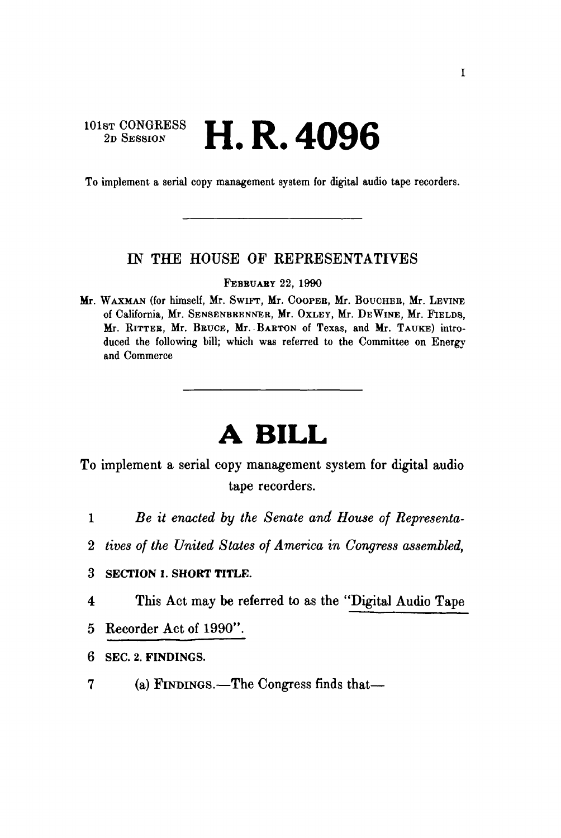## 101st CONGRESS **II D** *A* AOC 2D SESSION **H.K.4096**

To implement a serial copy management system for digital audio tape recorders.

### IN THE HOUSE OF REPRESENTATIVES

FEBRUARY 22, 1990

Mr. WAXMAN (for himself, Mr. SWIFT, Mr. COOPEE, Mr. BOUCHEB, Mr. LEVINE of California, Mr. SENSENBEENNEB, Mr. OXLEY, Mr. DEWINE, Mr. FIELDS, Mr. RITTEB, Mr. BBUCE, Mr. BARTON of Texas, and Mr. TAUKE) introduced the following bill; which was referred to the Committee on Energy and Commerce

# **A BILL**

To implement a serial copy management system for digital audio tape recorders.

- 1 *Be it enacted by the Senate and House of Representa-*
- 2 *tives of the United States of America in Congress assembled,*
- 3 SECTION 1. SHORT TITLE.
- 4 This Act may be referred to as the "Digital Audio Tape
- 5 Recorder Act of 1990".
- 6 SEC. 2. FINDINGS.
- 7 (a) FINDINGS.—The Congress finds that—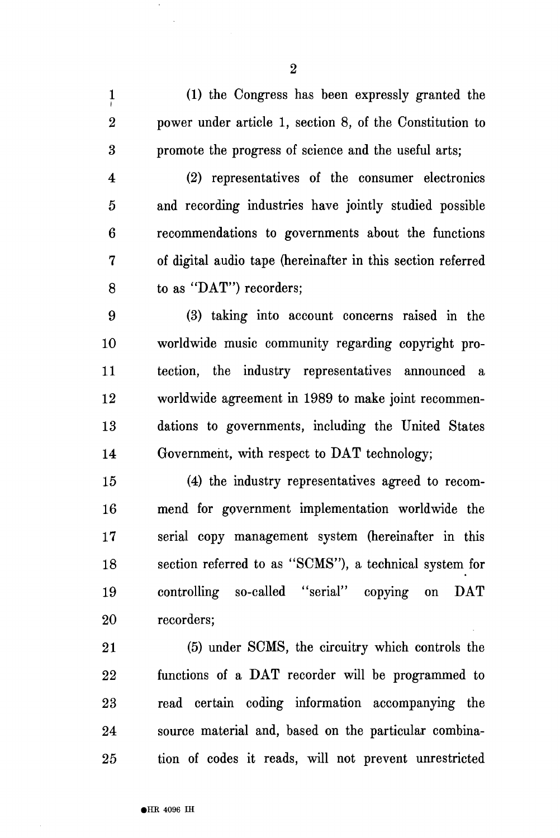1 (1) the Congress has been expressly granted the 2 power under article 1, section 8, of the Constitution to 3 promote the progress of science and the useful arts;

4 (2) representatives of the consumer electronics 5 and recording industries have jointly studied possible 6 recommendations to governments about the functions 7 of digital audio tape (hereinafter in this section referred 8 to as "DAT") recorders;

9 (3) taking into account concerns raised in the 10 worldwide music community regarding copyright pro-11 tection, the industry representatives announced a 12 worldwide agreement in 1989 to make joint recommen-13 dations to governments, including the United States 14 Government, with respect to DAT technology;

15 (4) the industry representatives agreed to recom-16 mend for government implementation worldwide the 17 serial copy management system (hereinafter in this 18 section referred to as "SCMS"), a technical system for 19 controlling so-called "serial" copying on DAT 20 recorders;

21 (5) under SCMS, the circuitry which controls the 22 functions of a DAT recorder will be programmed to 23 read certain coding information accompanying the 24 source material and, based on the particular combina-25 tion of codes it reads, will not prevent unrestricted

2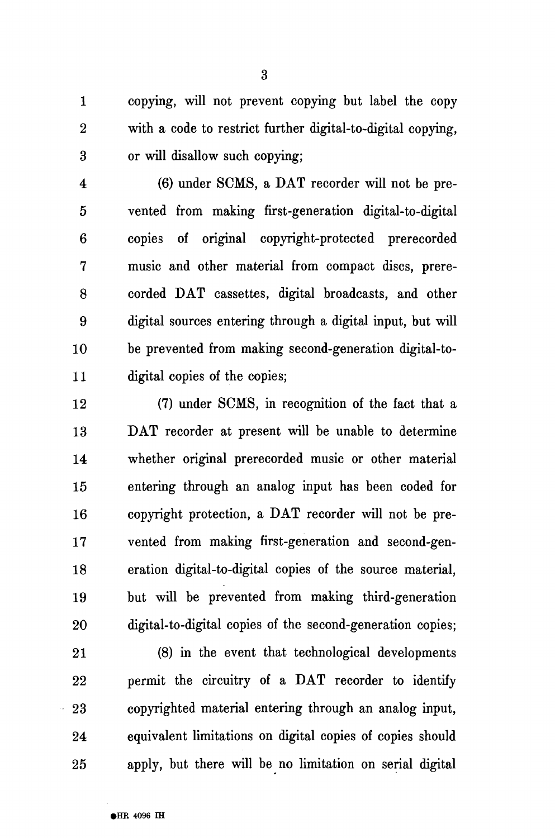1 copying, will not prevent copying but label the copy 2 with a code to restrict further digital-to-digital copying, 3 or will disallow such copying;

4 (6) under SCMS, a DAT recorder will not be pre-5 vented from making first-generation digital-to-digital 6 copies of original copyright-protected prerecorded 7 music and other material from compact discs, prere-8 corded DAT cassettes, digital broadcasts, and other 9 digital sources entering through a digital input, but will 10 be prevented from making second-generation digital-to-11 digital copies of the copies;

12 (7) under SCMS, in recognition of the fact that a 13 DAT recorder at present will be unable to determine 14 whether original prerecorded music or other material 15 entering through an analog input has been coded for 16 copyright protection, a DAT recorder will not be pre-17 vented from making first-generation and second-gen-18 eration digital-to-digital copies of the source material, 19 but will be prevented from making third-generation 20 digital-to-digital copies of the second-generation copies;

21 (8) in the event that technological developments 22 permit the circuitry of a DAT recorder to identify 23 copyrighted material entering through an analog input, 24 equivalent limitations on digital copies of copies should 25 apply, but there will be no limitation on serial digital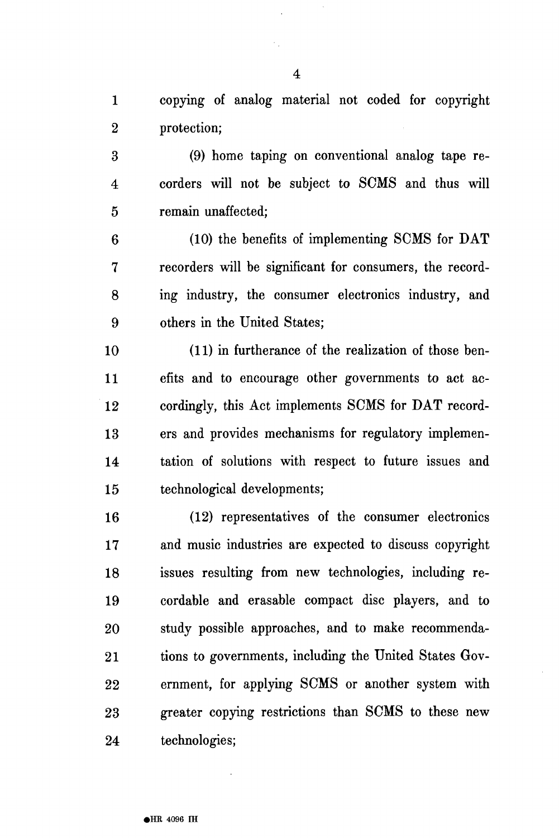1 copying of analog material not coded for copyright 2 protection;

3 (9) home taping on conventional analog tape re-4 corders will not be subject to SCMS and thus will 5 remain unaffected;

6 (10) the benefits of implementing SCMS for DAT 7 recorders will be significant for consumers, the record-8 ing industry, the consumer electronics industry, and 9 others in the United States;

10 (11) in furtherance of the realization of those ben-11 efits and to encourage other governments to act ac-12 cordingly, this Act implements SCMS for DAT record-13 ers and provides mechanisms for regulatory implemen-14 tation of solutions with respect to future issues and 15 technological developments;

16 (12) representatives of the consumer electronics 17 and music industries are expected to discuss copyright 18 issues resulting from new technologies, including re-19 cordable and erasable compact disc players, and to 20 study possible approaches, and to make recommenda-21 tions to governments, including the United States Gov-22 ernment, for applying SCMS or another system with 23 greater copying restrictions than SCMS to these new 24 technologies;

4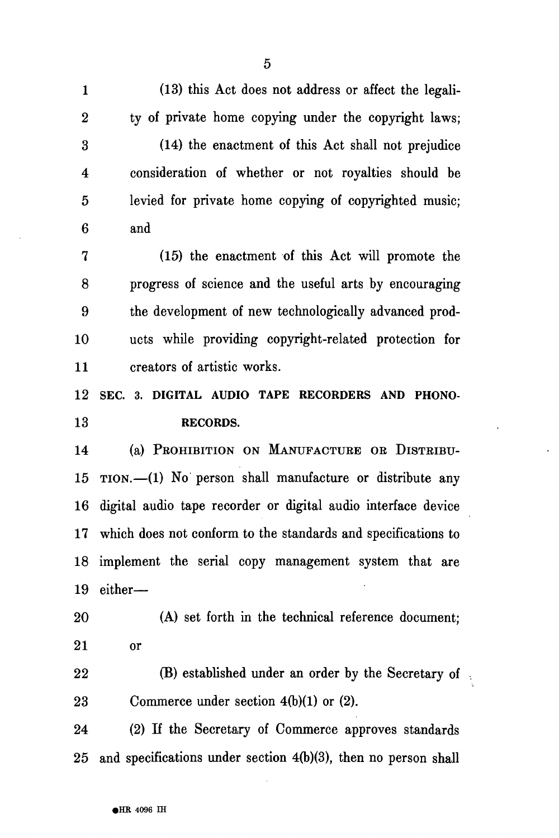1 (13) this Act does not address or affect the legali-2 ty of private home copying under the copyright laws; 3 (14) the enactment of this Act shall not prejudice 4 consideration of whether or not royalties should be 5 levied for private home copying of copyrighted music; 6 and 7 (15) the enactment of this Act will promote the 8 progress of science and the useful arts by encouraging 9 the development of new technologically advanced prod-10 ucts while providing copyright-related protection for 11 creators of artistic works. **12 SEC. 3. DIGITAL AUDIO TAPE RECORDERS AND PHONO-13 RECORDS.**  14 (a) PROHIBITION ON MANUFACTURE OR DISTRIBU-15 TION.—(1) No person shall manufacture or distribute any 16 digital audio tape recorder or digital audio interface device 17 which does not conform to the standards and specifications to 18 implement the serial copy management system that are 19 either— 20 (A) set forth in the technical reference document; 21 or 22 **(B)** established under an order by the Secretary of 23 Commerce under section 4(b)(1) or (2). 24 (2) If the Secretary of Commerce approves standards 25 and specifications under section 4(b)(3), then no person shall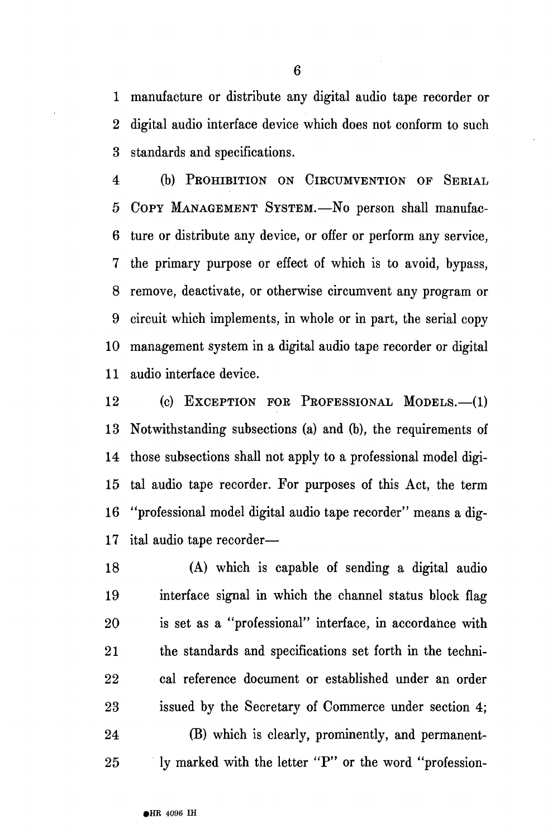1 manufacture or distribute any digital audio tape recorder or 2 digital audio interface device which does not conform to such 3 standards and specifications.

4 (b) PROHIBITION ON CIRCUMVENTION OF SERIAL 5 COPY MANAGEMENT SYSTEM.—No person shall manufac-6 ture or distribute any device, or offer or perform any service, 7 the primary purpose or effect of which is to avoid, bypass, 8 remove, deactivate, or otherwise circumvent any program or 9 circuit which implements, in whole or in part, the serial copy 10 management system in a digital audio tape recorder or digital 11 audio interface device.

12 (c) EXCEPTION FOR PROFESSIONAL MODELS.—(1) 13 Notwithstanding subsections (a) and (b), the requirements of 14 those subsections shall not apply to a professional model digi-15 tal audio tape recorder. For purposes of this Act, the term 16 "professional model digital audio tape recorder" means a dig-17 ital audio tape recorder—

18 (A) which is capable of sending a digital audio 19 interface signal in which the channel status block flag 20 is set as a "professional" interface, in accordance with 21 the standards and specifications set forth in the techni-22 cal reference document or established under an order 23 issued by the Secretary of Commerce under section 4; 24 (B) which is clearly, prominently, and permanent-

25 ly marked with the letter "P" or the word "profession-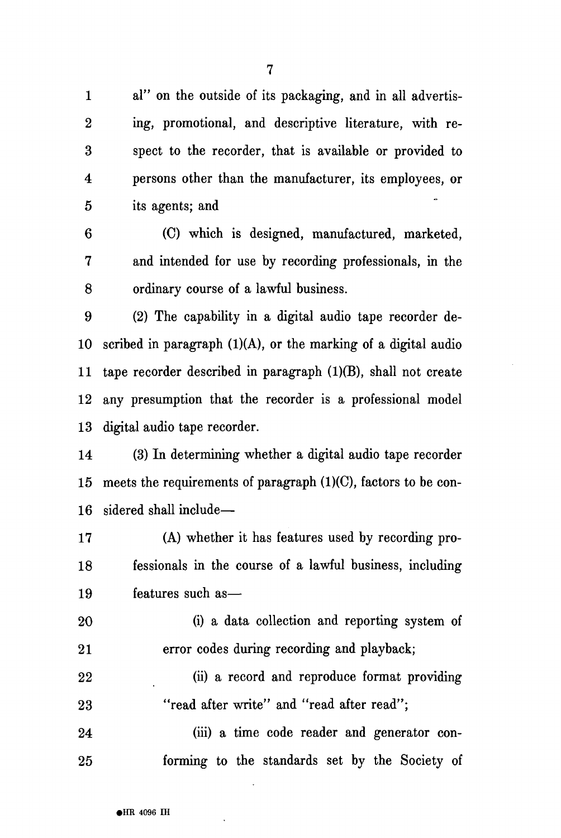1 al" on the outside of its packaging, and in all advertis-2 ing, promotional, and descriptive literature, with re-3 spect to the recorder, that is available or provided to 4 persons other than the manufacturer, its employees, or 5 its agents; and

6 (C) which is designed, manufactured, marketed, 7 and intended for use by recording professionals, in the 8 ordinary course of a lawful business.

9 (2) The capability in a digital audio tape recorder de-10 scribed in paragraph (1)(A), or the marking of a digital audio 11 tape recorder described in paragraph (1)(B), shall not create 12 any presumption that the recorder is a professional model 13 digital audio tape recorder.

14 (3) In determining whether a digital audio tape recorder 15 meets the requirements of paragraph  $(1)(C)$ , factors to be con-16 sidered shall include—

17 (A) whether it has features used by recording pro-18 fessionals in the course of a lawful business, including 19 features such as—

20 (i) a data collection and reporting system of 21 error codes during recording and playback;

22 (ii) a record and reproduce format providing 23 "read after write" and "read after read";

24 (iii) a time code reader and generator con-25 forming to the standards set by the Society of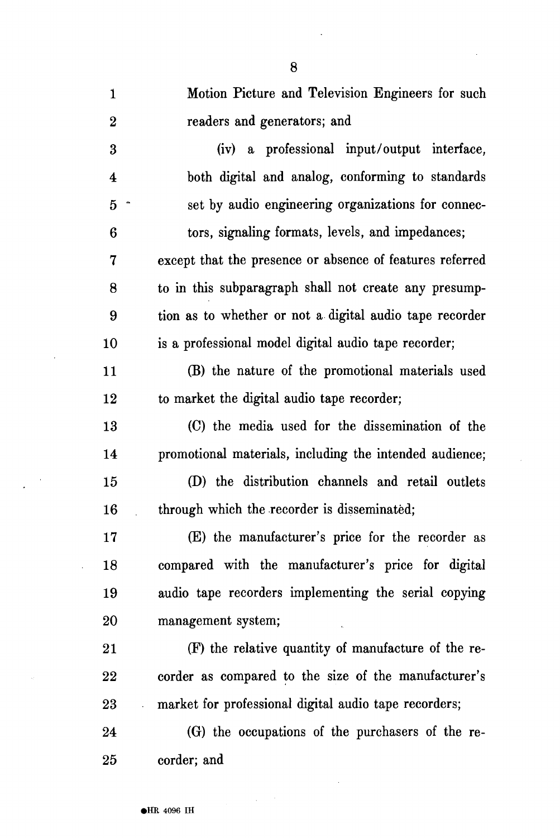| $\mathbf{1}$     | Motion Picture and Television Engineers for such         |
|------------------|----------------------------------------------------------|
| $\boldsymbol{2}$ | readers and generators; and                              |
| 3                | (iv) a professional input/output interface,              |
| 4                | both digital and analog, conforming to standards         |
| $\overline{5}$   | set by audio engineering organizations for connec-       |
| 6                | tors, signaling formats, levels, and impedances;         |
| 7                | except that the presence or absence of features referred |
| 8                | to in this subparagraph shall not create any presump-    |
| 9                | tion as to whether or not a digital audio tape recorder  |
| 10               | is a professional model digital audio tape recorder;     |
| 11               | (B) the nature of the promotional materials used         |
| 12               | to market the digital audio tape recorder;               |
| 13               | (C) the media used for the dissemination of the          |
| 14               | promotional materials, including the intended audience;  |
| 15               | (D) the distribution channels and retail outlets         |
| 16               | through which the recorder is disseminated;              |
| 17               | (E) the manufacturer's price for the recorder as         |
| 18               | compared with the manufacturer's price for digital       |
| 19               | audio tape recorders implementing the serial copying     |
| 20               | management system;                                       |
| 21               | (F) the relative quantity of manufacture of the re-      |
| 22               | corder as compared to the size of the manufacturer's     |
| 23               | market for professional digital audio tape recorders;    |
| 24               | (G) the occupations of the purchasers of the re-         |
| 25               | corder; and                                              |

 $\mathcal{L}^{\text{max}}_{\text{max}}$ 

 $\label{eq:2} \frac{1}{2} \int_{\mathbb{R}^3} \frac{1}{\sqrt{2}} \, \mathrm{d} \mu \, \mathrm{d} \mu \, \mathrm{d} \mu \, \mathrm{d} \mu \, \mathrm{d} \mu \, \mathrm{d} \mu \, \mathrm{d} \mu \, \mathrm{d} \mu \, \mathrm{d} \mu \, \mathrm{d} \mu \, \mathrm{d} \mu \, \mathrm{d} \mu \, \mathrm{d} \mu \, \mathrm{d} \mu \, \mathrm{d} \mu \, \mathrm{d} \mu \, \mathrm{d} \mu \, \mathrm{d} \mu \, \mathrm{d} \mu \, \mathrm{d} \mu \, \mathrm$ 

 $\sim$ 

 $\bar{z}$ 

 $\sim$ 

 $\bar{\beta}$ 

 $\sim$  $\cdot$ 

 $\sim$ 

 $\ddot{\phantom{0}}$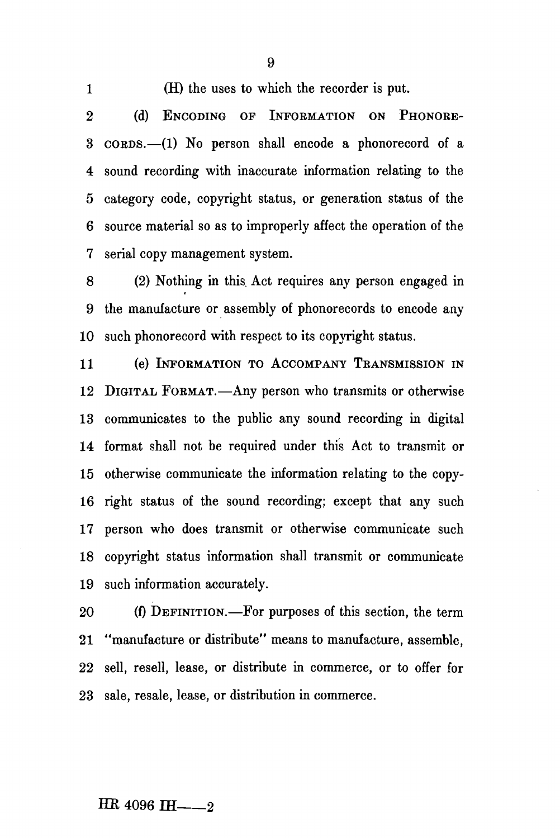1 (H) the uses to which the recorder is put.

9

2 (d) ENCODING OF INFORMATION ON PHONORE-3 COEDS.—(1) No person shall encode a phonorecord of a 4 sound recording with inaccurate information relating to the 5 category code, copyright status, or generation status of the 6 source material so as to improperly affect the operation of the 7 serial copy management system.

8 (2) Nothing in this. Act requires any person engaged in 9 the manufacture or assembly of phonorecords to encode any 10 such phonorecord with respect to its copyright status.

11 (e) INFORMATION TO ACCOMPANY TRANSMISSION IN 12 DIGITAL FORMAT.—Any person who transmits or otherwise 13 communicates to the public any sound recording in digital 14 format shall not be required under this Act to transmit or 15 otherwise communicate the information relating to the copy-16 right status of the sound recording; except that any such 17 person who does transmit or otherwise communicate such 18 copyright status information shall transmit or communicate 19 such information accurately.

20 (f) DEFINITION.—For purposes of this section, the term 21 "manufacture or distribute" means to manufacture, assemble, 22 sell, resell, lease, or distribute in commerce, or to offer for 23 sale, resale, lease, or distribution in commerce.

#### $HR_{4096}$   $H_{---2}$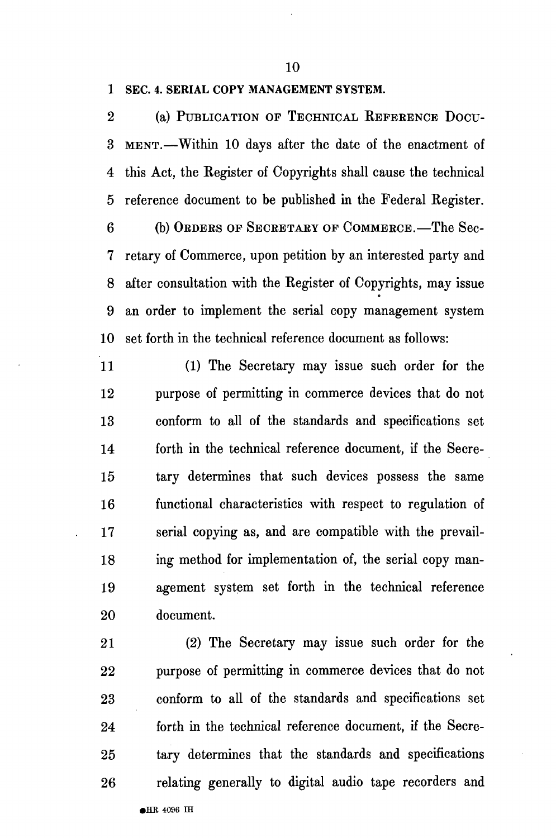10

#### 1 SEC. 4. SERIAL COPY MANAGEMENT SYSTEM.

2 (a) PUBLICATION OF TECHNICAL REFEEENCE DOCU-3 MENT.—Within 10 days after the date of the enactment of 4 this Act, the Register of Copyrights shall cause the technical 5 reference document to be published in the Federal Register.

6 (b) OBDEKS OF SECEETAEY OF COMMEECE.—The Sec-7 retary of Commerce, upon petition by an interested party and 8 after consultation with the Register of Copyrights, may issue 9 an order to implement the serial copy management system 10 set forth in the technical reference document as follows:

11 (1) The Secretary may issue such order for the 12 purpose of permitting in commerce devices that do not 13 conform to all of the standards and specifications set 14 forth in the technical reference document, if the Secre-15 tary determines that such devices possess the same 16 functional characteristics with respect to regulation of 17 serial copying as, and are compatible with the prevail-18 ing method for implementation of, the serial copy man-19 agement system set forth in the technical reference 20 document.

21 (2) The Secretary may issue such order for the 22 purpose of permitting in commerce devices that do not 23 conform to all of the standards and specifications set 24 forth in the technical reference document, if the Secre-25 tary determines that the standards and specifications 26 relating generally to digital audio tape recorders and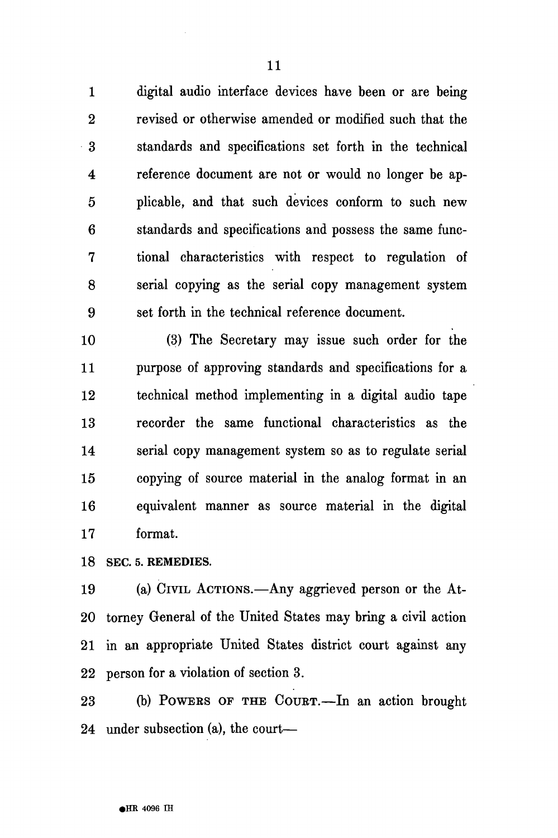1 digital audio interface devices have been or are being 2 revised or otherwise amended or modified such that the 3 standards and specifications set forth in the technical 4 reference document are not or would no longer be ap-5 plicable, and that such devices conform to such new 6 standards and specifications and possess the same func-7 tional characteristics with respect to regulation of 8 serial copying as the serial copy management system 9 set forth in the technical reference document.

10 (3) The Secretary may issue such order for the 11 purpose of approving standards and specifications for a 12 technical method implementing in a digital audio tape 13 recorder the same functional characteristics as the 14 serial copy management system so as to regulate serial 15 copying of source material in the analog format in an 16 equivalent manner as source material in the digital 17 format.

18 SEC. 5. REMEDIES.

19 (a) CIVIL ACTIONS.—Any aggrieved person or the At-20 tomey General of the United States may bring a civil action 21 in an appropriate United States district court against any 22 person for a violation of section 3.

23 (b) POWEES OF THE COUET.—In an action brought 24 under subsection (a), the court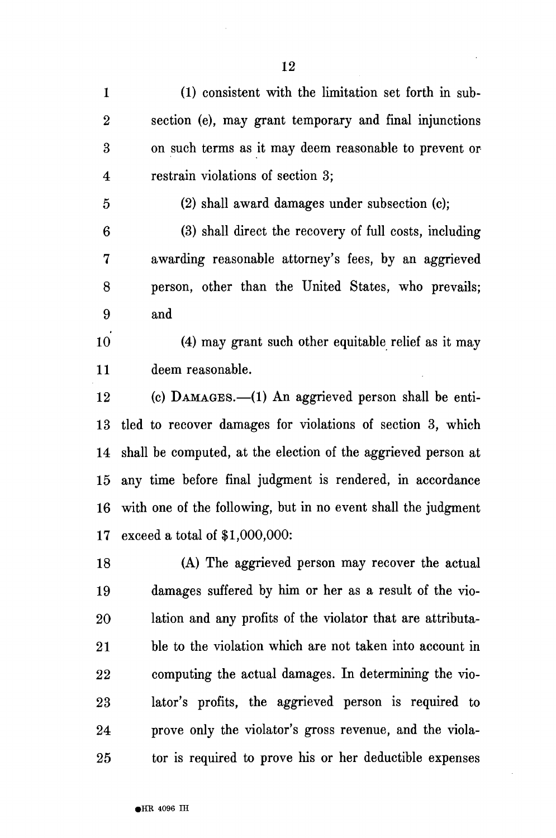2 section (e), may grant temporary and final injunctions 3 on such terms as it may deem reasonable to prevent or 4 restrain violations of section 3;

5 (2) shall award damages under subsection (c);

6 (3) shall direct the recovery of full costs, including 7 awarding reasonable attorney's fees, by an aggrieved 8 person, other than the United States, who prevails; 9 and

10 (4) may grant such other equitable relief as it may 11 deem reasonable.

12 (c) DAMAGES.—(1) An aggrieved person shall be enti-13 tied to recover damages for violations of section 3, which 14 shall be computed, at the election of the aggrieved person at 15 any time before final judgment is rendered, in accordance 16 with one of the following, but in no event shall the judgment 17 exceed a total of \$1,000,000:

18 (A) The aggrieved person may recover the actual 19 damages suffered by him or her as a result of the vio-20 lation and any profits of the violator that are attributa-21 ble to the violation which are not taken into account in 22 computing the actual damages. In determining the vio-23 lator's profits, the aggrieved person is required to 24 prove only the violator's gross revenue, and the viola-25 tor is required to prove his or her deductible expenses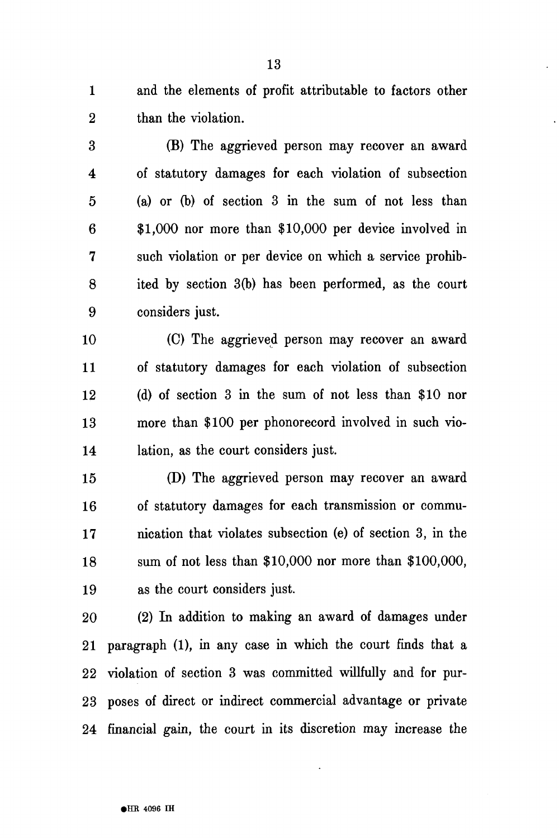1 and the elements of profit attributable to factors other 2 than the violation.

3 (B) The aggrieved person may recover an award 4 of statutory damages for each violation of subsection 5 (a) or (b) of section 3 in the sum of not less than 6 \$1,000 nor more than \$10,000 per device involved in 7 such violation or per device on which a service prohib-8 ited by section 3(b) has been performed, as the court 9 considers just.

10 (C) The aggrieved person may recover an award 11 of statutory damages for each violation of subsection 12 (d) of section 3 in the sum of not less than \$10 nor 13 more than \$100 per phonorecord involved in such vio-14 lation, as the court considers just.

15 (D) The aggrieved person may recover an award 16 of statutory damages for each transmission or commu-17 nication that violates subsection (e) of section 3, in the 18 sum of not less than \$10,000 nor more than \$100,000, 19 as the court considers just.

20 (2) In addition to making an award of damages under 21 paragraph (1), in any case in which the court finds that a 22 violation of section 3 was committed willfully and for pur-23 poses of direct or indirect commercial advantage or private 24 financial gain, the court in its discretion may increase the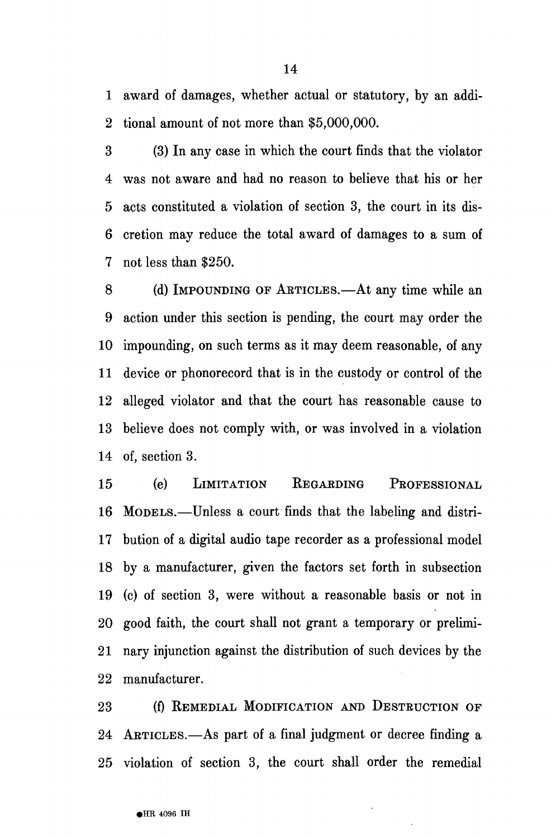1 award of damages, whether actual or statutory, by an addi-2 tional amount of not more than \$5,000,000.

3 (3) In any case in which the court finds that the violator 4 was not aware and had no reason to believe that his or her 5 acts constituted a violation of section 3, the court in its dis-6 cretion may reduce the total award of damages to a sum of 7 not less than \$250.

8 (d) IMPOUNDING OF AETICLES.—At any time while an 9 action under this section is pending, the court may order the 10 impounding, on such terms as it may deem reasonable, of any 11 device or phonorecord that is in the custody or control of the 12 alleged violator and that the court has reasonable cause to 13 believe does not comply with, or was involved in a violation 14 of, section 3.

15 (e) LIMITATION EEGAEDING PROFESSIONAL 16 MODELS.—Unless a court finds that the labeling and distri-17 bution of a digital audio tape recorder as a professional model 18 by a manufacturer, given the factors set forth in subsection 19 (c) of section 3, were without a reasonable basis or not in 20 good faith, the court shall not grant a temporary or prelimi-21 nary injunction against the distribution of such devices by the 22 manufacturer.

23 (f) REMEDIAL MODIFICATION AND DESTEUCTION OF 24 AETICLES.—As part of a final judgment or decree finding a 25 violation of section 3, the court shall order the remedial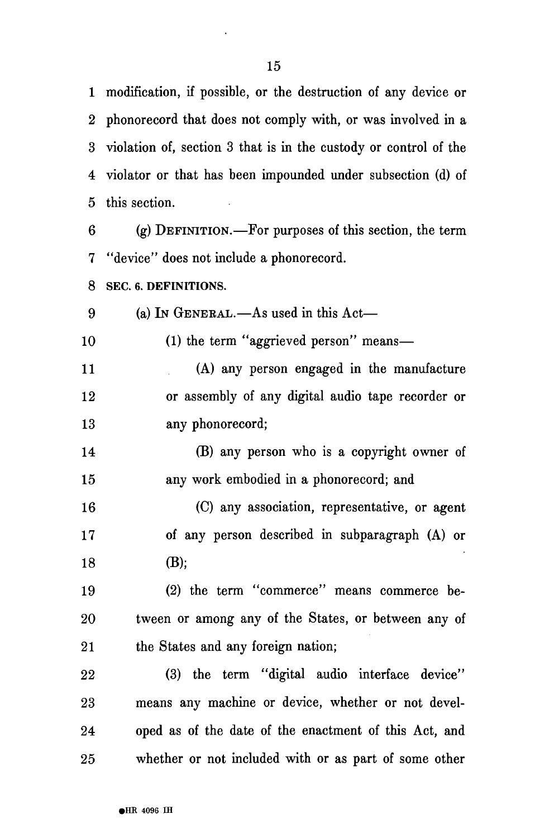1 modification, if possible, or the destruction of any device or 2 phonorecord that does not comply with, or was involved in a 3 violation of, section 3 that is in the custody or control of the 4 violator or that has been impounded under subsection (d) of 5 this section.

6 (g) DEFINITION.—For purposes of this section, the term 7 "device" does not include a phonorecord.

**8 SEC. 6. DEFINITIONS.** 

9 (a) IN GENERAL.—As used in this Act—

10 (1) the term "aggrieved person" means—

11 (A) any person engaged in the manufacture 12 or assembly of any digital audio tape recorder or 13 any phonorecord;

14 (B) any person who is a copyright owner of 15 any work embodied in a phonorecord; and

16 (C) any association, representative, or agent 17 of any person described in subparagraph (A) or 18 (B);

19 (2) the term "commerce" means commerce be-20 tween or among any of the States, or between any of 21 the States and any foreign nation;

22 (3) the term "digital audio interface device" 23 means any machine or device, whether or not devel-24 oped as of the date of the enactment of this Act, and 25 whether or not included with or as part of some other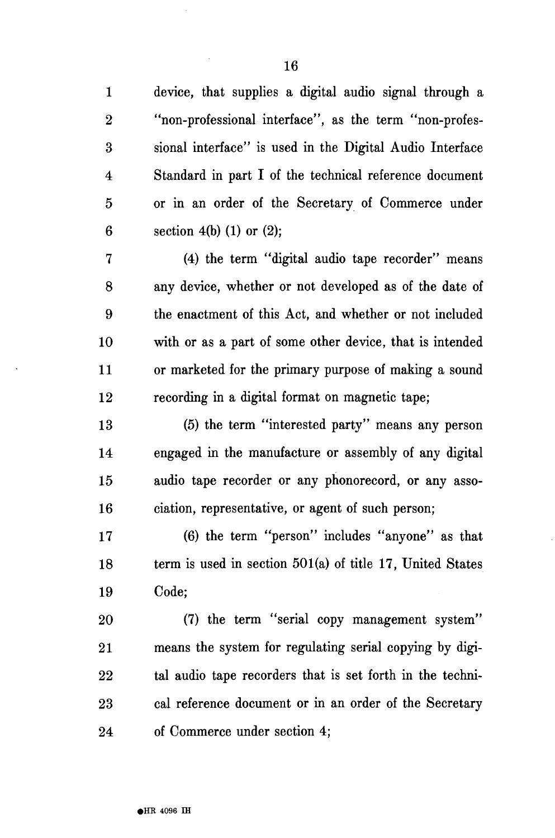1 device, that supplies a digital audio signal through a 2 "non-professional interface", as the term "non-profes-3 sional interface" is used in the Digital Audio Interface 4 Standard in part I of the technical reference document 5 or in an order of the Secretary of Commerce under 6 section 4(b) (1) or  $(2)$ ;

7 (4) the term "digital audio tape recorder" means 8 any device, whether or not developed as of the date of 9 the enactment of this Act, and whether or not included 10 with or as a part of some other device, that is intended 11 or marketed for the primary purpose of making a sound 12 recording in a digital format on magnetic tape;

13 (5) the term "interested party" means any person 14 engaged in the manufacture or assembly of any digital 15 audio tape recorder or any phonorecord, or any asso-16 ciation, representative, or agent of such person;

17 (6) the term "person" includes "anyone" as that 18 term is used in section  $501(a)$  of title 17, United States 19 Code;

20 (7) the term "serial copy management system" 21 means the system for regulating serial copying by digi-22 tal audio tape recorders that is set forth in the techni-23 cal reference document or in an order of the Secretary 24 of Commerce under section 4;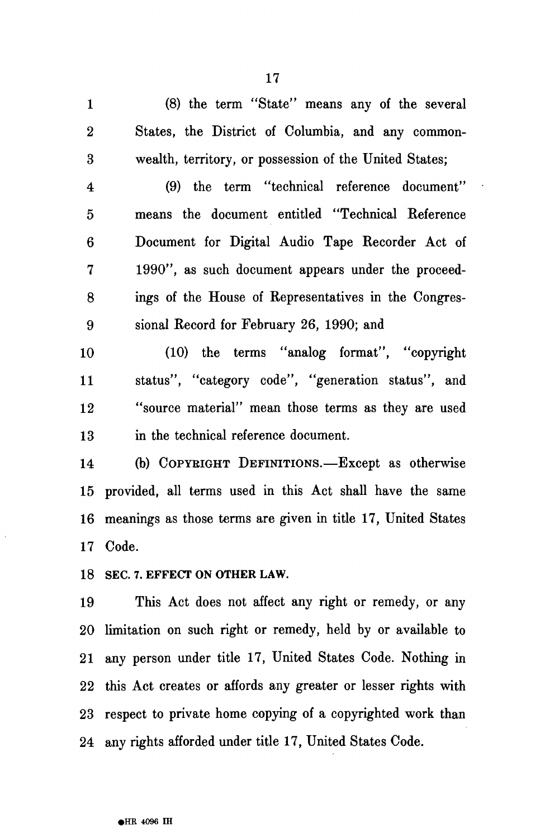1 (8) the term "State" means any of the several 2 States, the District of Columbia, and any common-3 wealth, territory, or possession of the United States;

4 (9) the term "technical reference document" 5 means the document entitled "Technical Reference 6 Document for Digital Audio Tape Recorder Act of 7 1990", as such document appears under the proceed-8 ings of the House of Representatives in the Congres-9 sional Record for February 26, 1990; and

10 (10) the terms "analog format", "copyright 11 status", "category code", "generation status", and 12 "source material" mean those terms as they are used 13 in the technical reference document.

14 (b) COPYEIGHT DEFINITIONS.—Except as otherwise 15 provided, all terms used in this Act shall have the same 16 meanings as those terms are given in title 17, United States 17 Code.

**18 SEC. 7. EFFECT ON OTHER LAW.** 

19 This Act does not affect any right or remedy, or any 20 limitation on such right or remedy, held by or available to 21 any person under title 17, United States Code. Nothing in 22 this Act creates or affords any greater or lesser rights with 23 respect to private home copying of a copyrighted work than 24 any rights afforded under title 17, United States Code.